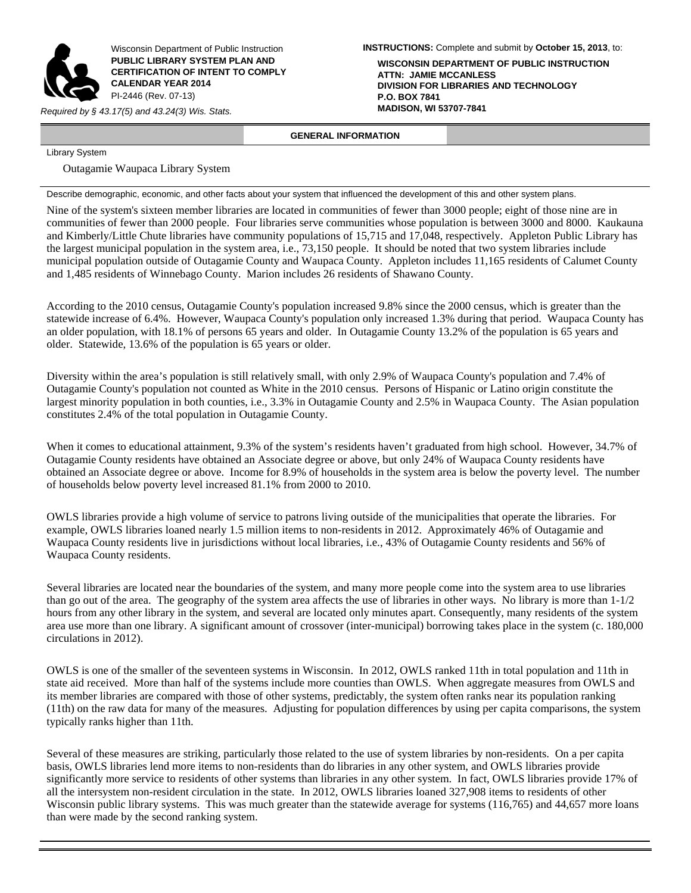

Wisconsin Department of Public Instruction **PUBLIC LIBRARY SYSTEM PLAN AND CERTIFICATION OF INTENT TO COMPLY CALENDAR YEAR 2014**  PI-2446 (Rev. 07-13)

*Required by § 43.17(5) and 43.24(3) Wis. Stats.* 

**INSTRUCTIONS:** Complete and submit by **October 15, 2013**, to:

**WISCONSIN DEPARTMENT OF PUBLIC INSTRUCTION ATTN: JAMIE MCCANLESS DIVISION FOR LIBRARIES AND TECHNOLOGY P.O. BOX 7841**

 **GENERAL INFORMATION** 

Library System

Outagamie Waupaca Library System

Describe demographic, economic, and other facts about your system that influenced the development of this and other system plans.

Nine of the system's sixteen member libraries are located in communities of fewer than 3000 people; eight of those nine are in communities of fewer than 2000 people. Four libraries serve communities whose population is between 3000 and 8000. Kaukauna and Kimberly/Little Chute libraries have community populations of 15,715 and 17,048, respectively. Appleton Public Library has the largest municipal population in the system area, i.e., 73,150 people. It should be noted that two system libraries include municipal population outside of Outagamie County and Waupaca County. Appleton includes 11,165 residents of Calumet County and 1,485 residents of Winnebago County. Marion includes 26 residents of Shawano County.

According to the 2010 census, Outagamie County's population increased 9.8% since the 2000 census, which is greater than the statewide increase of 6.4%. However, Waupaca County's population only increased 1.3% during that period. Waupaca County has an older population, with 18.1% of persons 65 years and older. In Outagamie County 13.2% of the population is 65 years and older. Statewide, 13.6% of the population is 65 years or older.

Diversity within the area's population is still relatively small, with only 2.9% of Waupaca County's population and 7.4% of Outagamie County's population not counted as White in the 2010 census. Persons of Hispanic or Latino origin constitute the largest minority population in both counties, i.e., 3.3% in Outagamie County and 2.5% in Waupaca County. The Asian population constitutes 2.4% of the total population in Outagamie County.

When it comes to educational attainment, 9.3% of the system's residents haven't graduated from high school. However, 34.7% of Outagamie County residents have obtained an Associate degree or above, but only 24% of Waupaca County residents have obtained an Associate degree or above. Income for 8.9% of households in the system area is below the poverty level. The number of households below poverty level increased 81.1% from 2000 to 2010.

OWLS libraries provide a high volume of service to patrons living outside of the municipalities that operate the libraries. For example, OWLS libraries loaned nearly 1.5 million items to non-residents in 2012. Approximately 46% of Outagamie and Waupaca County residents live in jurisdictions without local libraries, i.e., 43% of Outagamie County residents and 56% of Waupaca County residents.

Several libraries are located near the boundaries of the system, and many more people come into the system area to use libraries than go out of the area. The geography of the system area affects the use of libraries in other ways. No library is more than  $1-1/2$ hours from any other library in the system, and several are located only minutes apart. Consequently, many residents of the system area use more than one library. A significant amount of crossover (inter-municipal) borrowing takes place in the system (c. 180,000 circulations in 2012).

OWLS is one of the smaller of the seventeen systems in Wisconsin. In 2012, OWLS ranked 11th in total population and 11th in state aid received. More than half of the systems include more counties than OWLS. When aggregate measures from OWLS and its member libraries are compared with those of other systems, predictably, the system often ranks near its population ranking (11th) on the raw data for many of the measures. Adjusting for population differences by using per capita comparisons, the system typically ranks higher than 11th.

Several of these measures are striking, particularly those related to the use of system libraries by non-residents. On a per capita basis, OWLS libraries lend more items to non-residents than do libraries in any other system, and OWLS libraries provide significantly more service to residents of other systems than libraries in any other system. In fact, OWLS libraries provide 17% of all the intersystem non-resident circulation in the state. In 2012, OWLS libraries loaned 327,908 items to residents of other Wisconsin public library systems. This was much greater than the statewide average for systems (116,765) and 44,657 more loans than were made by the second ranking system.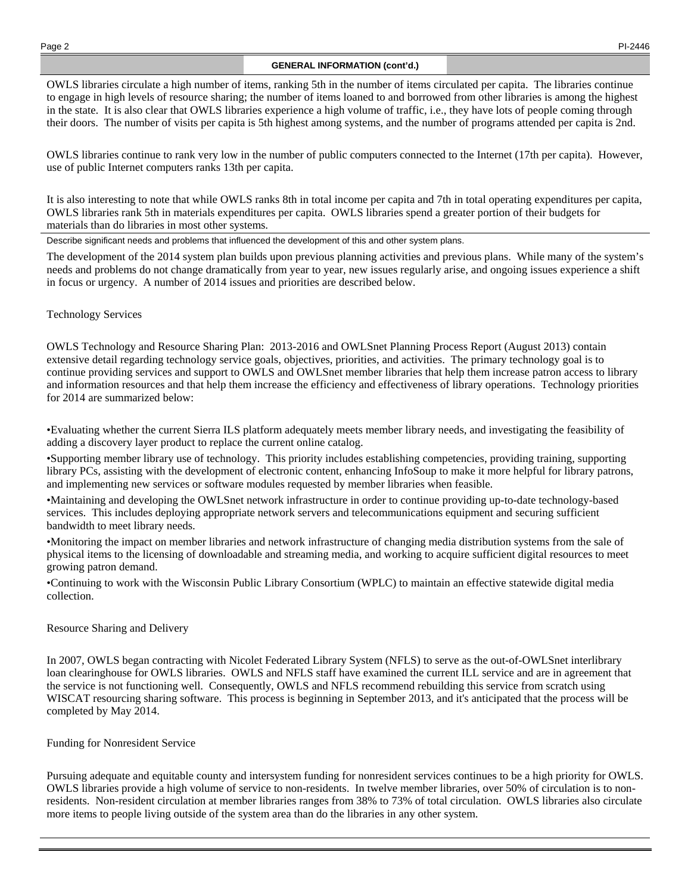## **GENERAL INFORMATION (cont'd.)**

OWLS libraries circulate a high number of items, ranking 5th in the number of items circulated per capita. The libraries continue to engage in high levels of resource sharing; the number of items loaned to and borrowed from other libraries is among the highest in the state. It is also clear that OWLS libraries experience a high volume of traffic, i.e., they have lots of people coming through their doors. The number of visits per capita is 5th highest among systems, and the number of programs attended per capita is 2nd.

OWLS libraries continue to rank very low in the number of public computers connected to the Internet (17th per capita). However, use of public Internet computers ranks 13th per capita.

It is also interesting to note that while OWLS ranks 8th in total income per capita and 7th in total operating expenditures per capita, OWLS libraries rank 5th in materials expenditures per capita. OWLS libraries spend a greater portion of their budgets for materials than do libraries in most other systems.

Describe significant needs and problems that influenced the development of this and other system plans.

The development of the 2014 system plan builds upon previous planning activities and previous plans. While many of the system's needs and problems do not change dramatically from year to year, new issues regularly arise, and ongoing issues experience a shift in focus or urgency. A number of 2014 issues and priorities are described below.

### Technology Services

OWLS Technology and Resource Sharing Plan: 2013-2016 and OWLSnet Planning Process Report (August 2013) contain extensive detail regarding technology service goals, objectives, priorities, and activities. The primary technology goal is to continue providing services and support to OWLS and OWLSnet member libraries that help them increase patron access to library and information resources and that help them increase the efficiency and effectiveness of library operations. Technology priorities for 2014 are summarized below:

•Evaluating whether the current Sierra ILS platform adequately meets member library needs, and investigating the feasibility of adding a discovery layer product to replace the current online catalog.

•Supporting member library use of technology. This priority includes establishing competencies, providing training, supporting library PCs, assisting with the development of electronic content, enhancing InfoSoup to make it more helpful for library patrons, and implementing new services or software modules requested by member libraries when feasible.

•Maintaining and developing the OWLSnet network infrastructure in order to continue providing up-to-date technology-based services. This includes deploying appropriate network servers and telecommunications equipment and securing sufficient bandwidth to meet library needs.

•Monitoring the impact on member libraries and network infrastructure of changing media distribution systems from the sale of physical items to the licensing of downloadable and streaming media, and working to acquire sufficient digital resources to meet growing patron demand.

•Continuing to work with the Wisconsin Public Library Consortium (WPLC) to maintain an effective statewide digital media collection.

### Resource Sharing and Delivery

In 2007, OWLS began contracting with Nicolet Federated Library System (NFLS) to serve as the out-of-OWLSnet interlibrary loan clearinghouse for OWLS libraries. OWLS and NFLS staff have examined the current ILL service and are in agreement that the service is not functioning well. Consequently, OWLS and NFLS recommend rebuilding this service from scratch using WISCAT resourcing sharing software. This process is beginning in September 2013, and it's anticipated that the process will be completed by May 2014.

# Funding for Nonresident Service

Pursuing adequate and equitable county and intersystem funding for nonresident services continues to be a high priority for OWLS. OWLS libraries provide a high volume of service to non-residents. In twelve member libraries, over 50% of circulation is to nonresidents. Non-resident circulation at member libraries ranges from 38% to 73% of total circulation. OWLS libraries also circulate more items to people living outside of the system area than do the libraries in any other system.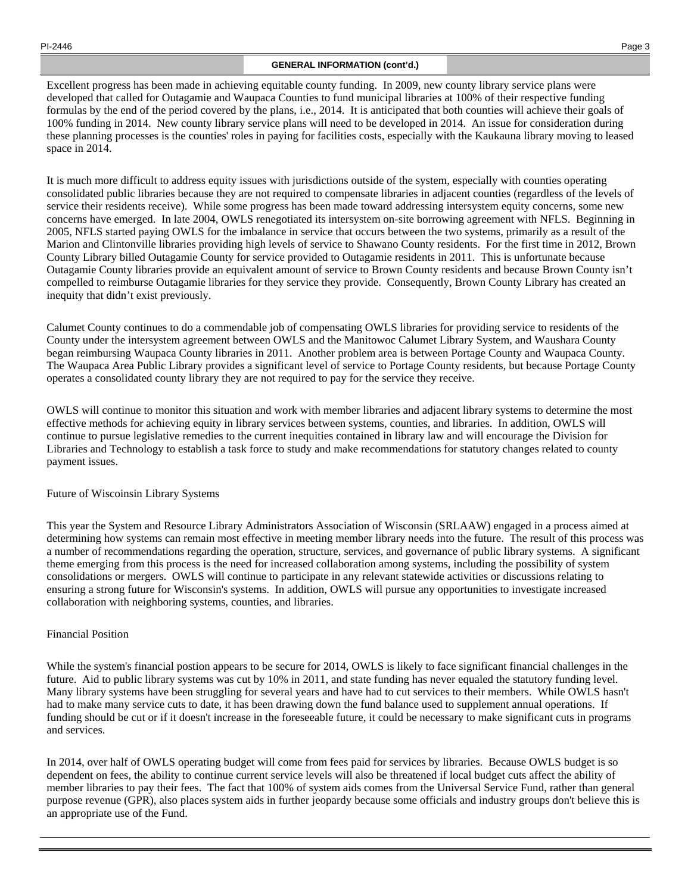# **GENERAL INFORMATION (cont'd.)**

Excellent progress has been made in achieving equitable county funding. In 2009, new county library service plans were developed that called for Outagamie and Waupaca Counties to fund municipal libraries at 100% of their respective funding formulas by the end of the period covered by the plans, i.e., 2014. It is anticipated that both counties will achieve their goals of 100% funding in 2014. New county library service plans will need to be developed in 2014. An issue for consideration during these planning processes is the counties' roles in paying for facilities costs, especially with the Kaukauna library moving to leased space in 2014.

It is much more difficult to address equity issues with jurisdictions outside of the system, especially with counties operating consolidated public libraries because they are not required to compensate libraries in adjacent counties (regardless of the levels of service their residents receive). While some progress has been made toward addressing intersystem equity concerns, some new concerns have emerged. In late 2004, OWLS renegotiated its intersystem on-site borrowing agreement with NFLS. Beginning in 2005, NFLS started paying OWLS for the imbalance in service that occurs between the two systems, primarily as a result of the Marion and Clintonville libraries providing high levels of service to Shawano County residents. For the first time in 2012, Brown County Library billed Outagamie County for service provided to Outagamie residents in 2011. This is unfortunate because Outagamie County libraries provide an equivalent amount of service to Brown County residents and because Brown County isn't compelled to reimburse Outagamie libraries for they service they provide. Consequently, Brown County Library has created an inequity that didn't exist previously.

Calumet County continues to do a commendable job of compensating OWLS libraries for providing service to residents of the County under the intersystem agreement between OWLS and the Manitowoc Calumet Library System, and Waushara County began reimbursing Waupaca County libraries in 2011. Another problem area is between Portage County and Waupaca County. The Waupaca Area Public Library provides a significant level of service to Portage County residents, but because Portage County operates a consolidated county library they are not required to pay for the service they receive.

OWLS will continue to monitor this situation and work with member libraries and adjacent library systems to determine the most effective methods for achieving equity in library services between systems, counties, and libraries. In addition, OWLS will continue to pursue legislative remedies to the current inequities contained in library law and will encourage the Division for Libraries and Technology to establish a task force to study and make recommendations for statutory changes related to county payment issues.

# Future of Wiscoinsin Library Systems

This year the System and Resource Library Administrators Association of Wisconsin (SRLAAW) engaged in a process aimed at determining how systems can remain most effective in meeting member library needs into the future. The result of this process was a number of recommendations regarding the operation, structure, services, and governance of public library systems. A significant theme emerging from this process is the need for increased collaboration among systems, including the possibility of system consolidations or mergers. OWLS will continue to participate in any relevant statewide activities or discussions relating to ensuring a strong future for Wisconsin's systems. In addition, OWLS will pursue any opportunities to investigate increased collaboration with neighboring systems, counties, and libraries.

# Financial Position

While the system's financial postion appears to be secure for 2014, OWLS is likely to face significant financial challenges in the future. Aid to public library systems was cut by 10% in 2011, and state funding has never equaled the statutory funding level. Many library systems have been struggling for several years and have had to cut services to their members. While OWLS hasn't had to make many service cuts to date, it has been drawing down the fund balance used to supplement annual operations. If funding should be cut or if it doesn't increase in the foreseeable future, it could be necessary to make significant cuts in programs and services.

In 2014, over half of OWLS operating budget will come from fees paid for services by libraries. Because OWLS budget is so dependent on fees, the ability to continue current service levels will also be threatened if local budget cuts affect the ability of member libraries to pay their fees. The fact that 100% of system aids comes from the Universal Service Fund, rather than general purpose revenue (GPR), also places system aids in further jeopardy because some officials and industry groups don't believe this is an appropriate use of the Fund.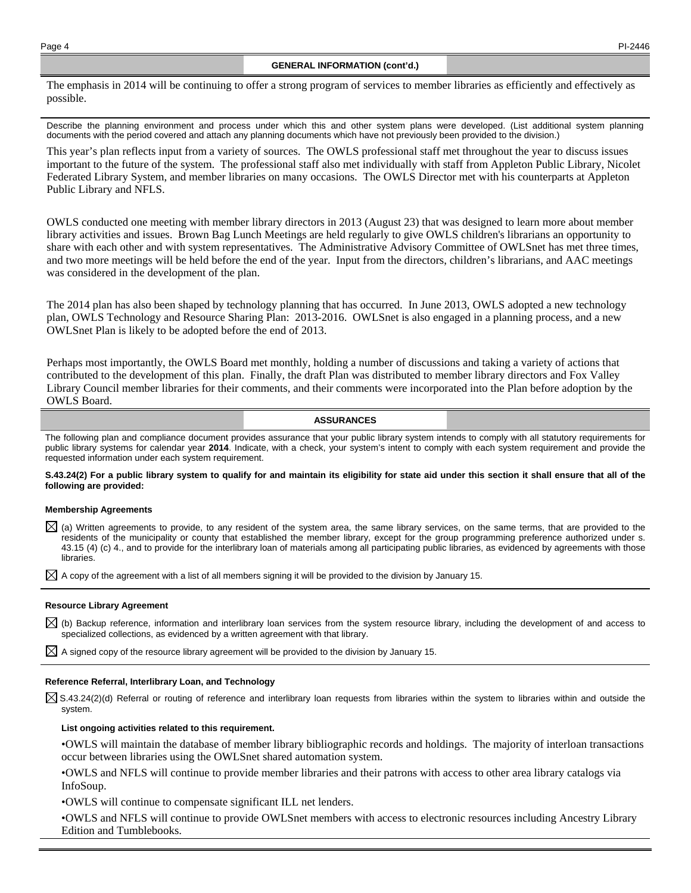The emphasis in 2014 will be continuing to offer a strong program of services to member libraries as efficiently and effectively as possible.

Describe the planning environment and process under which this and other system plans were developed. (List additional system planning documents with the period covered and attach any planning documents which have not previously been provided to the division.)

This year's plan reflects input from a variety of sources. The OWLS professional staff met throughout the year to discuss issues important to the future of the system. The professional staff also met individually with staff from Appleton Public Library, Nicolet Federated Library System, and member libraries on many occasions. The OWLS Director met with his counterparts at Appleton Public Library and NFLS.

OWLS conducted one meeting with member library directors in 2013 (August 23) that was designed to learn more about member library activities and issues. Brown Bag Lunch Meetings are held regularly to give OWLS children's librarians an opportunity to share with each other and with system representatives. The Administrative Advisory Committee of OWLSnet has met three times, and two more meetings will be held before the end of the year. Input from the directors, children's librarians, and AAC meetings was considered in the development of the plan.

The 2014 plan has also been shaped by technology planning that has occurred. In June 2013, OWLS adopted a new technology plan, OWLS Technology and Resource Sharing Plan: 2013-2016. OWLSnet is also engaged in a planning process, and a new OWLSnet Plan is likely to be adopted before the end of 2013.

Perhaps most importantly, the OWLS Board met monthly, holding a number of discussions and taking a variety of actions that contributed to the development of this plan. Finally, the draft Plan was distributed to member library directors and Fox Valley Library Council member libraries for their comments, and their comments were incorporated into the Plan before adoption by the OWLS Board.

### **ASSURANCES**

The following plan and compliance document provides assurance that your public library system intends to comply with all statutory requirements for public library systems for calendar year **2014**. Indicate, with a check, your system's intent to comply with each system requirement and provide the requested information under each system requirement.

#### **S.43.24(2) For a public library system to qualify for and maintain its eligibility for state aid under this section it shall ensure that all of the following are provided:**

#### **Membership Agreements**

 $\boxtimes$  (a) Written agreements to provide, to any resident of the system area, the same library services, on the same terms, that are provided to the residents of the municipality or county that established the member library, except for the group programming preference authorized under s. 43.15 (4) (c) 4., and to provide for the interlibrary loan of materials among all participating public libraries, as evidenced by agreements with those libraries.

 $\boxtimes$  A copy of the agreement with a list of all members signing it will be provided to the division by January 15.

#### **Resource Library Agreement**

 $\boxtimes$  (b) Backup reference, information and interlibrary loan services from the system resource library, including the development of and access to specialized collections, as evidenced by a written agreement with that library.

 $\boxtimes$  A signed copy of the resource library agreement will be provided to the division by January 15.

#### **Reference Referral, Interlibrary Loan, and Technology**

 $\boxtimes$  S.43.24(2)(d) Referral or routing of reference and interlibrary loan requests from libraries within the system to libraries within and outside the system.

#### **List ongoing activities related to this requirement.**

• OWLS will maintain the database of member library bibliographic records and holdings. The majority of interloan transactions occur between libraries using the OWLSnet shared automation system.

• OWLS and NFLS will continue to provide member libraries and their patrons with access to other area library catalogs via InfoSoup.

• OWLS will continue to compensate significant ILL net lenders.

• OWLS and NFLS will continue to provide OWLSnet members with access to electronic resources including Ancestry Library Edition and Tumblebooks.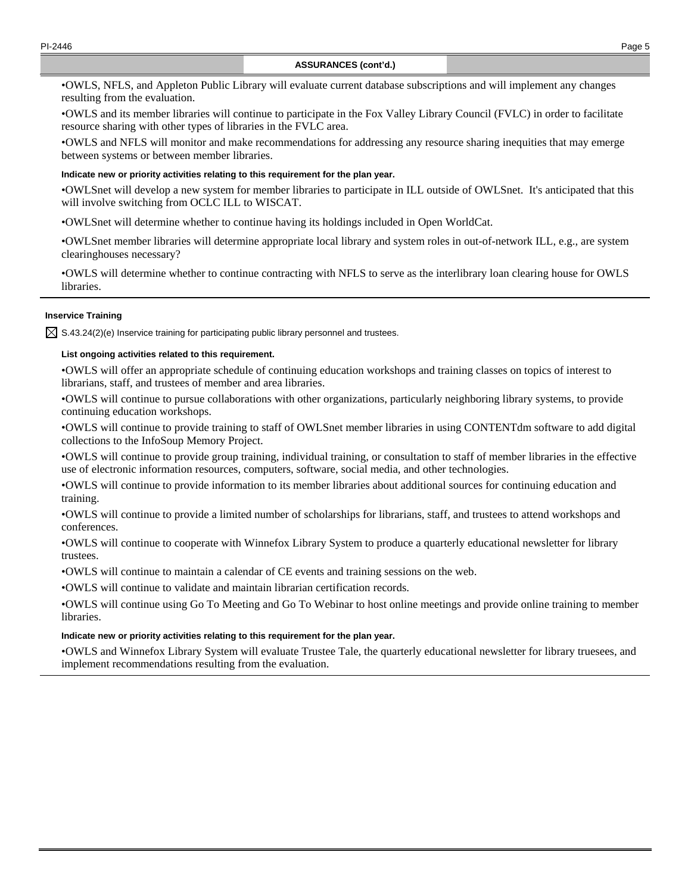• OWLS, NFLS, and Appleton Public Library will evaluate current database subscriptions and will implement any changes resulting from the evaluation.

• OWLS and its member libraries will continue to participate in the Fox Valley Library Council (FVLC) in order to facilitate resource sharing with other types of libraries in the FVLC area.

• OWLS and NFLS will monitor and make recommendations for addressing any resource sharing inequities that may emerge between systems or between member libraries.

### **Indicate new or priority activities relating to this requirement for the plan year.**

•OWLSnet will develop a new system for member libraries to participate in ILL outside of OWLSnet. It's anticipated that this will involve switching from OCLC ILL to WISCAT.

•OWLSnet will determine whether to continue having its holdings included in Open WorldCat.

•OWLSnet member libraries will determine appropriate local library and system roles in out-of-network ILL, e.g., are system clearinghouses necessary?

• OWLS will determine whether to continue contracting with NFLS to serve as the interlibrary loan clearing house for OWLS libraries.

# **Inservice Training**

 $\boxtimes$  S.43.24(2)(e) Inservice training for participating public library personnel and trustees.

### **List ongoing activities related to this requirement.**

• OWLS will offer an appropriate schedule of continuing education workshops and training classes on topics of interest to librarians, staff, and trustees of member and area libraries.

• OWLS will continue to pursue collaborations with other organizations, particularly neighboring library systems, to provide continuing education workshops.

• OWLS will continue to provide training to staff of OWLSnet member libraries in using CONTENTdm software to add digital collections to the InfoSoup Memory Project.

• OWLS will continue to provide group training, individual training, or consultation to staff of member libraries in the effective use of electronic information resources, computers, software, social media, and other technologies.

• OWLS will continue to provide information to its member libraries about additional sources for continuing education and training.

• OWLS will continue to provide a limited number of scholarships for librarians, staff, and trustees to attend workshops and conferences.

• OWLS will continue to cooperate with Winnefox Library System to produce a quarterly educational newsletter for library trustees.

• OWLS will continue to maintain a calendar of CE events and training sessions on the web.

• OWLS will continue to validate and maintain librarian certification records.

• OWLS will continue using Go To Meeting and Go To Webinar to host online meetings and provide online training to member libraries.

#### **Indicate new or priority activities relating to this requirement for the plan year.**

• OWLS and Winnefox Library System will evaluate Trustee Tale, the quarterly educational newsletter for library truesees, and implement recommendations resulting from the evaluation.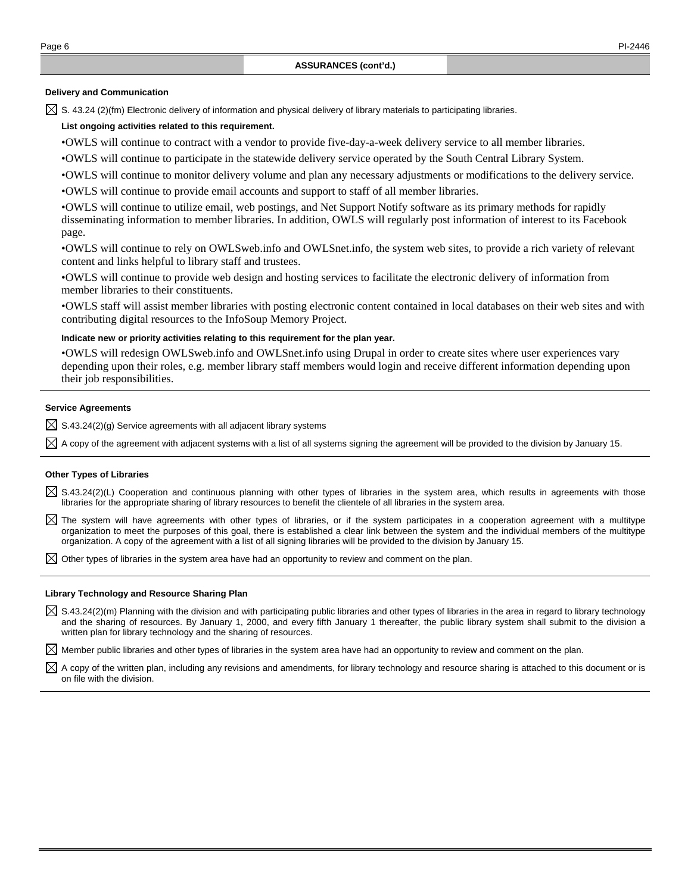#### **Delivery and Communication**

 $\boxtimes$  S. 43.24 (2)(fm) Electronic delivery of information and physical delivery of library materials to participating libraries.

#### **List ongoing activities related to this requirement.**

• OWLS will continue to contract with a vendor to provide five-day-a-week delivery service to all member libraries.

- OWLS will continue to participate in the statewide delivery service operated by the South Central Library System.
- OWLS will continue to monitor delivery volume and plan any necessary adjustments or modifications to the delivery service.

• OWLS will continue to provide email accounts and support to staff of all member libraries.

• OWLS will continue to utilize email, web postings, and Net Support Notify software as its primary methods for rapidly disseminating information to member libraries. In addition, OWLS will regularly post information of interest to its Facebook page.

• OWLS will continue to rely on OWLSweb.info and OWLSnet.info, the system web sites, to provide a rich variety of relevant content and links helpful to library staff and trustees.

• OWLS will continue to provide web design and hosting services to facilitate the electronic delivery of information from member libraries to their constituents.

• OWLS staff will assist member libraries with posting electronic content contained in local databases on their web sites and with contributing digital resources to the InfoSoup Memory Project.

#### **Indicate new or priority activities relating to this requirement for the plan year.**

• OWLS will redesign OWLSweb.info and OWLSnet.info using Drupal in order to create sites where user experiences vary depending upon their roles, e.g. member library staff members would login and receive different information depending upon their job responsibilities.

## **Service Agreements**

 $\boxtimes$  S.43.24(2)(g) Service agreements with all adjacent library systems

 $\boxtimes$  A copy of the agreement with adjacent systems with a list of all systems signing the agreement will be provided to the division by January 15.

#### **Other Types of Libraries**

- $\boxtimes$  S.43.24(2)(L) Cooperation and continuous planning with other types of libraries in the system area, which results in agreements with those libraries for the appropriate sharing of library resources to benefit the clientele of all libraries in the system area.
- $\boxtimes$  The system will have agreements with other types of libraries, or if the system participates in a cooperation agreement with a multitype organization to meet the purposes of this goal, there is established a clear link between the system and the individual members of the multitype organization. A copy of the agreement with a list of all signing libraries will be provided to the division by January 15.

 $\boxtimes$  Other types of libraries in the system area have had an opportunity to review and comment on the plan.

#### **Library Technology and Resource Sharing Plan**

 $\boxtimes$  S.43.24(2)(m) Planning with the division and with participating public libraries and other types of libraries in the area in regard to library technology and the sharing of resources. By January 1, 2000, and every fifth January 1 thereafter, the public library system shall submit to the division a written plan for library technology and the sharing of resources.

 $\boxtimes$  Member public libraries and other types of libraries in the system area have had an opportunity to review and comment on the plan.

 $\boxtimes$  A copy of the written plan, including any revisions and amendments, for library technology and resource sharing is attached to this document or is on file with the division.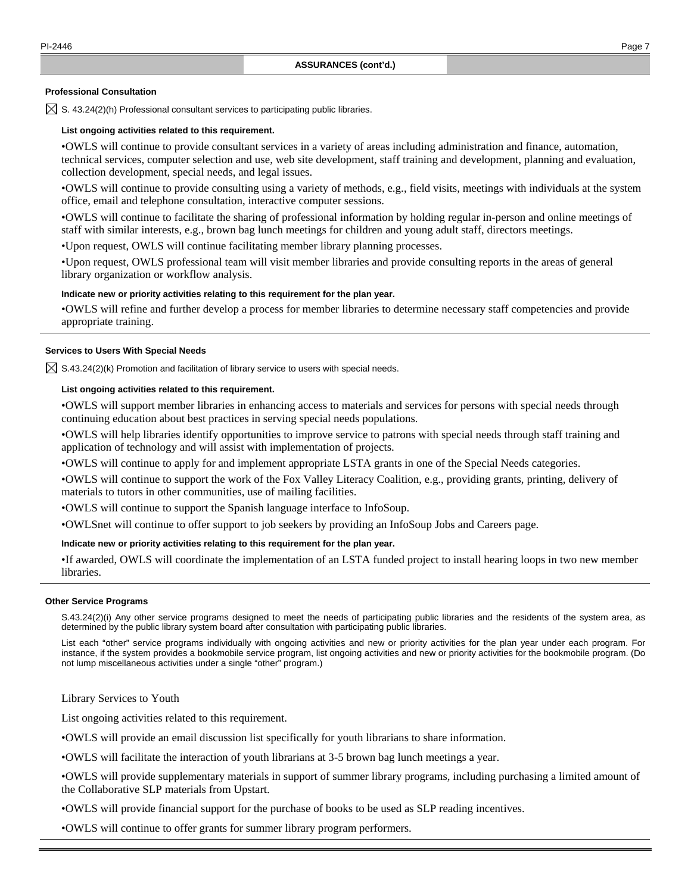#### **Professional Consultation**

 $\boxtimes$  S. 43.24(2)(h) Professional consultant services to participating public libraries.

### **List ongoing activities related to this requirement.**

• OWLS will continue to provide consultant services in a variety of areas including administration and finance, automation, technical services, computer selection and use, web site development, staff training and development, planning and evaluation, collection development, special needs, and legal issues.

• OWLS will continue to provide consulting using a variety of methods, e.g., field visits, meetings with individuals at the system office, email and telephone consultation, interactive computer sessions.

• OWLS will continue to facilitate the sharing of professional information by holding regular in-person and online meetings of staff with similar interests, e.g., brown bag lunch meetings for children and young adult staff, directors meetings.

•Upon request, OWLS will continue facilitating member library planning processes.

• Upon request, OWLS professional team will visit member libraries and provide consulting reports in the areas of general library organization or workflow analysis.

### **Indicate new or priority activities relating to this requirement for the plan year.**

• OWLS will refine and further develop a process for member libraries to determine necessary staff competencies and provide appropriate training.

### **Services to Users With Special Needs**

 $\boxtimes$  S.43.24(2)(k) Promotion and facilitation of library service to users with special needs.

### **List ongoing activities related to this requirement.**

• OWLS will support member libraries in enhancing access to materials and services for persons with special needs through continuing education about best practices in serving special needs populations.

• OWLS will help libraries identify opportunities to improve service to patrons with special needs through staff training and application of technology and will assist with implementation of projects.

• OWLS will continue to apply for and implement appropriate LSTA grants in one of the Special Needs categories.

• OWLS will continue to support the work of the Fox Valley Literacy Coalition, e.g., providing grants, printing, delivery of materials to tutors in other communities, use of mailing facilities.

• OWLS will continue to support the Spanish language interface to InfoSoup.

• OWLSnet will continue to offer support to job seekers by providing an InfoSoup Jobs and Careers page.

### **Indicate new or priority activities relating to this requirement for the plan year.**

• If awarded, OWLS will coordinate the implementation of an LSTA funded project to install hearing loops in two new member libraries.

#### **Other Service Programs**

 S.43.24(2)(i) Any other service programs designed to meet the needs of participating public libraries and the residents of the system area, as determined by the public library system board after consultation with participating public libraries.

 List each "other" service programs individually with ongoing activities and new or priority activities for the plan year under each program. For instance, if the system provides a bookmobile service program, list ongoing activities and new or priority activities for the bookmobile program. (Do not lump miscellaneous activities under a single "other" program.)

Library Services to Youth

List ongoing activities related to this requirement.

• OWLS will provide an email discussion list specifically for youth librarians to share information.

• OWLS will facilitate the interaction of youth librarians at 3-5 brown bag lunch meetings a year.

• OWLS will provide supplementary materials in support of summer library programs, including purchasing a limited amount of the Collaborative SLP materials from Upstart.

• OWLS will provide financial support for the purchase of books to be used as SLP reading incentives.

• OWLS will continue to offer grants for summer library program performers.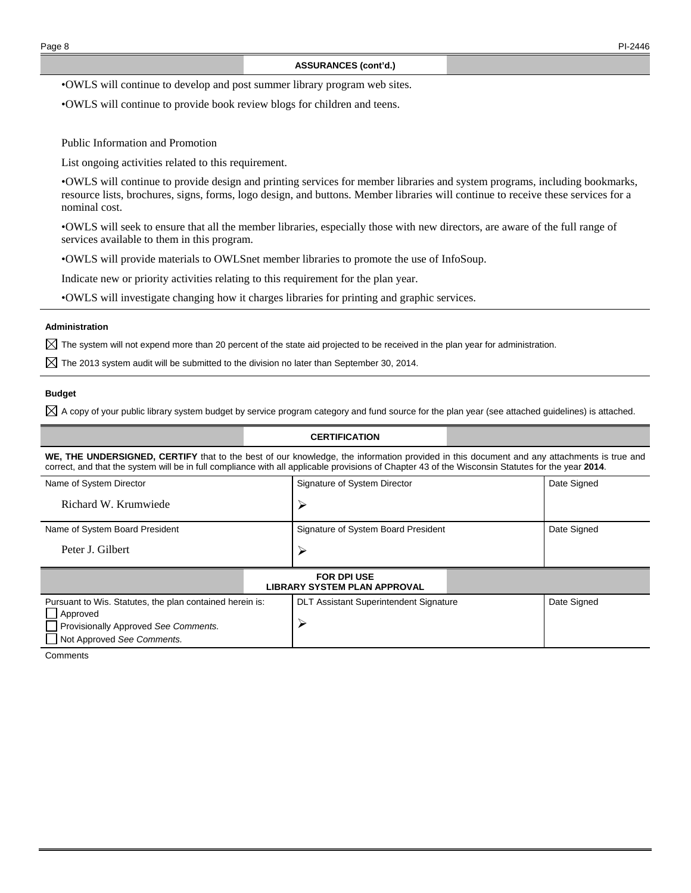• OWLS will continue to develop and post summer library program web sites.

• OWLS will continue to provide book review blogs for children and teens.

Public Information and Promotion

List ongoing activities related to this requirement.

• OWLS will continue to provide design and printing services for member libraries and system programs, including bookmarks, resource lists, brochures, signs, forms, logo design, and buttons. Member libraries will continue to receive these services for a nominal cost.

• OWLS will seek to ensure that all the member libraries, especially those with new directors, are aware of the full range of services available to them in this program.

• OWLS will provide materials to OWLSnet member libraries to promote the use of InfoSoup.

Indicate new or priority activities relating to this requirement for the plan year.

• OWLS will investigate changing how it charges libraries for printing and graphic services.

### **Administration**

 $\boxtimes$  The system will not expend more than 20 percent of the state aid projected to be received in the plan year for administration.

 $\boxtimes$  The 2013 system audit will be submitted to the division no later than September 30, 2014.

## **Budget**

 $\boxtimes$  A copy of your public library system budget by service program category and fund source for the plan year (see attached quidelines) is attached.

### **CERTIFICATION**

**WE, THE UNDERSIGNED, CERTIFY** that to the best of our knowledge, the information provided in this document and any attachments is true and correct, and that the system will be in full compliance with all applicable provisions of Chapter 43 of the Wisconsin Statutes for the year **2014**.

| Name of System Director        | Signature of System Director        | Date Signed |  |  |
|--------------------------------|-------------------------------------|-------------|--|--|
| Richard W. Krumwiede           |                                     |             |  |  |
| Name of System Board President | Signature of System Board President | Date Signed |  |  |
| Peter J. Gilbert               |                                     |             |  |  |
| <b>FOR DPI USE</b>             |                                     |             |  |  |

| LIBRARY SYSTEM PLAN APPROVAL                                                                                                               |                                               |             |  |  |  |
|--------------------------------------------------------------------------------------------------------------------------------------------|-----------------------------------------------|-------------|--|--|--|
| Pursuant to Wis. Statutes, the plan contained herein is:<br>Approved<br>Provisionally Approved See Comments.<br>Not Approved See Comments. | <b>DLT Assistant Superintendent Signature</b> | Date Signed |  |  |  |

**Comments**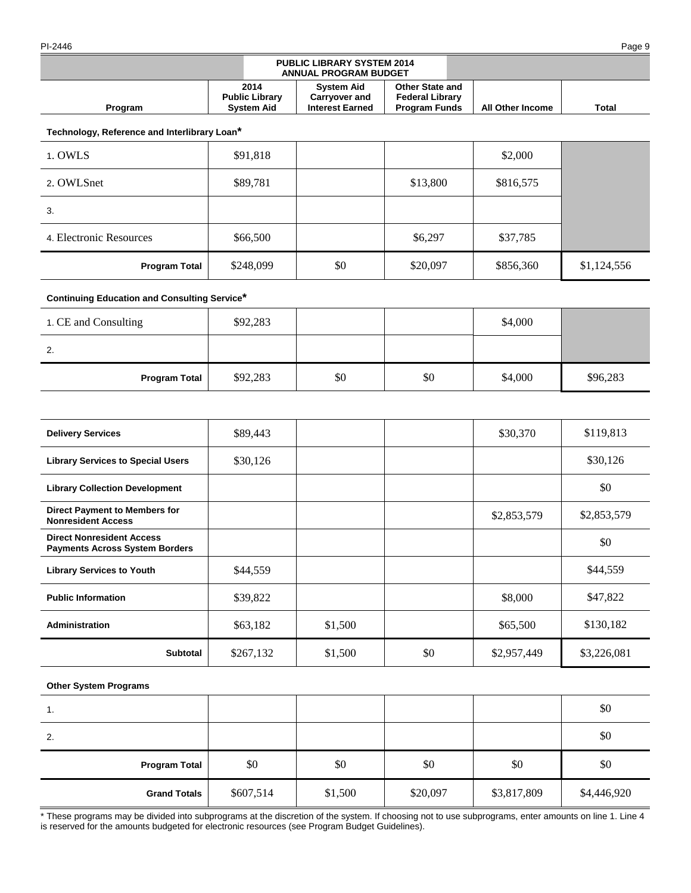### PI-2446 Page 9

|         |                                                    | <b>PUBLIC LIBRARY SYSTEM 2014</b><br><b>ANNUAL PROGRAM BUDGET</b> |                                                                          |                  |       |
|---------|----------------------------------------------------|-------------------------------------------------------------------|--------------------------------------------------------------------------|------------------|-------|
| Program | 2014<br><b>Public Library</b><br><b>System Aid</b> | <b>System Aid</b><br>Carryover and<br><b>Interest Earned</b>      | <b>Other State and</b><br><b>Federal Library</b><br><b>Program Funds</b> | All Other Income | Total |

**Technology, Reference and Interlibrary Loan\***

| 1. OWLS                 | \$91,818  |     |          | \$2,000   |             |
|-------------------------|-----------|-----|----------|-----------|-------------|
| 2. OWLSnet              | \$89,781  |     | \$13,800 | \$816,575 |             |
| 3.                      |           |     |          |           |             |
| 4. Electronic Resources | \$66,500  |     | \$6,297  | \$37,785  |             |
| <b>Program Total</b>    | \$248,099 | \$0 | \$20,097 | \$856,360 | \$1,124,556 |

# **Continuing Education and Consulting Service\***

| 1. CE and Consulting | \$92,283 |     |     | \$4,000 |          |
|----------------------|----------|-----|-----|---------|----------|
| 2.                   |          |     |     |         |          |
| <b>Program Total</b> | \$92,283 | \$0 | \$0 | \$4,000 | \$96,283 |

| <b>Delivery Services</b>                                                  | \$89,443  |         |     | \$30,370    | \$119,813   |
|---------------------------------------------------------------------------|-----------|---------|-----|-------------|-------------|
| <b>Library Services to Special Users</b>                                  | \$30,126  |         |     |             | \$30,126    |
| <b>Library Collection Development</b>                                     |           |         |     |             | \$0         |
| <b>Direct Payment to Members for</b><br><b>Nonresident Access</b>         |           |         |     | \$2,853,579 | \$2,853,579 |
| <b>Direct Nonresident Access</b><br><b>Payments Across System Borders</b> |           |         |     |             | \$0         |
| <b>Library Services to Youth</b>                                          | \$44,559  |         |     |             | \$44,559    |
| <b>Public Information</b>                                                 | \$39,822  |         |     | \$8,000     | \$47,822    |
| <b>Administration</b>                                                     | \$63,182  | \$1,500 |     | \$65,500    | \$130,182   |
| <b>Subtotal</b>                                                           | \$267,132 | \$1,500 | \$0 | \$2,957,449 | \$3,226,081 |

## **Other System Programs**

| 1.                   |           |         |          |             | \$0         |
|----------------------|-----------|---------|----------|-------------|-------------|
| 2.                   |           |         |          |             | \$0         |
| <b>Program Total</b> | \$0       | \$0     | \$0      | \$0         | \$0         |
| <b>Grand Totals</b>  | \$607,514 | \$1,500 | \$20,097 | \$3,817,809 | \$4,446,920 |

\* These programs may be divided into subprograms at the discretion of the system. If choosing not to use subprograms, enter amounts on line 1. Line 4 is reserved for the amounts budgeted for electronic resources (see Program Budget Guidelines).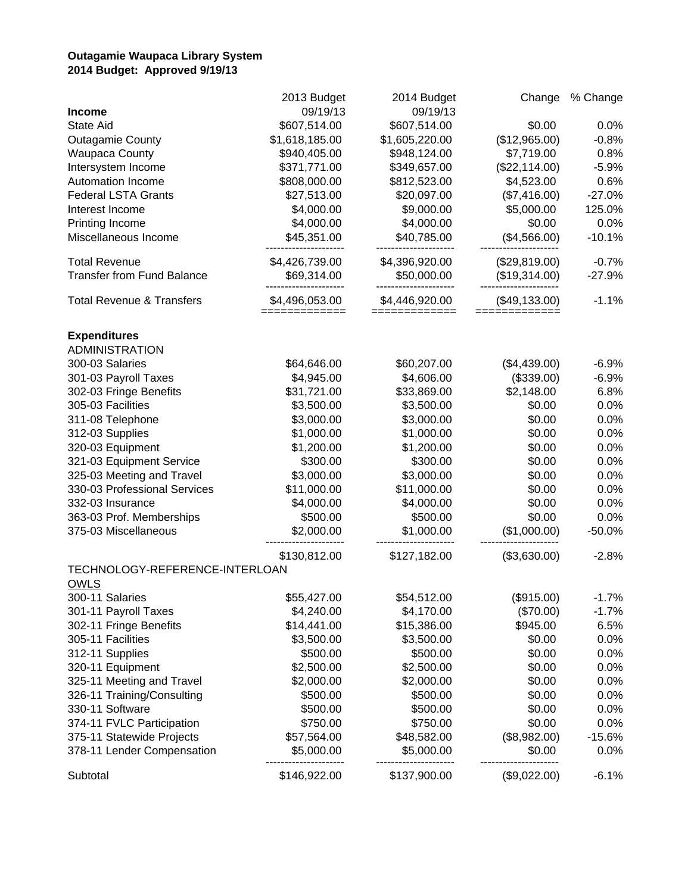# **Outagamie Waupaca Library System 2014 Budget: Approved 9/19/13**

|                                      | 2013 Budget                     | 2014 Budget                   | Change                           | % Change |
|--------------------------------------|---------------------------------|-------------------------------|----------------------------------|----------|
| <b>Income</b>                        | 09/19/13                        | 09/19/13                      |                                  |          |
| <b>State Aid</b>                     | \$607,514.00                    | \$607,514.00                  | \$0.00                           | 0.0%     |
| <b>Outagamie County</b>              | \$1,618,185.00                  | \$1,605,220.00                | (\$12,965.00)                    | $-0.8%$  |
| <b>Waupaca County</b>                | \$940,405.00                    | \$948,124.00                  | \$7,719.00                       | 0.8%     |
| Intersystem Income                   | \$371,771.00                    | \$349,657.00                  | (\$22,114.00)                    | $-5.9%$  |
| Automation Income                    | \$808,000.00                    | \$812,523.00                  | \$4,523.00                       | 0.6%     |
| <b>Federal LSTA Grants</b>           | \$27,513.00                     | \$20,097.00                   | (\$7,416.00)                     | $-27.0%$ |
| Interest Income                      | \$4,000.00                      | \$9,000.00                    | \$5,000.00                       | 125.0%   |
| Printing Income                      | \$4,000.00                      | \$4,000.00                    | \$0.00                           | 0.0%     |
| Miscellaneous Income                 | \$45,351.00                     | \$40,785.00                   | (\$4,566.00)                     | $-10.1%$ |
| <b>Total Revenue</b>                 | \$4,426,739.00                  | \$4,396,920.00                | (\$29,819.00)                    | $-0.7%$  |
| <b>Transfer from Fund Balance</b>    | \$69,314.00                     | \$50,000.00                   | (\$19,314.00)                    | $-27.9%$ |
| <b>Total Revenue &amp; Transfers</b> | \$4,496,053.00<br>============= | \$4,446,920.00<br>=========== | $(\$49,133.00)$<br>============= | $-1.1%$  |
| <b>Expenditures</b>                  |                                 |                               |                                  |          |
| <b>ADMINISTRATION</b>                |                                 |                               |                                  |          |
| 300-03 Salaries                      | \$64,646.00                     | \$60,207.00                   | (\$4,439.00)                     | $-6.9%$  |
| 301-03 Payroll Taxes                 | \$4,945.00                      | \$4,606.00                    | (\$339.00)                       | $-6.9%$  |
| 302-03 Fringe Benefits               | \$31,721.00                     | \$33,869.00                   | \$2,148.00                       | 6.8%     |
| 305-03 Facilities                    | \$3,500.00                      | \$3,500.00                    | \$0.00                           | 0.0%     |
| 311-08 Telephone                     | \$3,000.00                      | \$3,000.00                    | \$0.00                           | 0.0%     |
| 312-03 Supplies                      | \$1,000.00                      | \$1,000.00                    | \$0.00                           | 0.0%     |
| 320-03 Equipment                     | \$1,200.00                      | \$1,200.00                    | \$0.00                           | 0.0%     |
| 321-03 Equipment Service             | \$300.00                        | \$300.00                      | \$0.00                           | 0.0%     |
| 325-03 Meeting and Travel            | \$3,000.00                      | \$3,000.00                    | \$0.00                           | 0.0%     |
| 330-03 Professional Services         | \$11,000.00                     | \$11,000.00                   | \$0.00                           | 0.0%     |
| 332-03 Insurance                     | \$4,000.00                      | \$4,000.00                    | \$0.00                           | 0.0%     |
| 363-03 Prof. Memberships             | \$500.00                        | \$500.00                      | \$0.00                           | 0.0%     |
| 375-03 Miscellaneous                 | \$2,000.00                      | \$1,000.00                    | (\$1,000.00)                     | $-50.0%$ |
|                                      | \$130,812.00                    | \$127,182.00                  | (\$3,630.00)                     | $-2.8%$  |
| TECHNOLOGY-REFERENCE-INTERLOAN       |                                 |                               |                                  |          |
| <b>OWLS</b>                          |                                 |                               |                                  |          |
| 300-11 Salaries                      | \$55,427.00                     | \$54,512.00                   | (\$915.00)                       | $-1.7%$  |
| 301-11 Payroll Taxes                 | \$4,240.00                      | \$4,170.00                    | $(\$70.00)$<br>\$945.00          | $-1.7%$  |
| 302-11 Fringe Benefits               | \$14,441.00                     | \$15,386.00                   |                                  | 6.5%     |
| 305-11 Facilities                    | \$3,500.00                      | \$3,500.00                    | \$0.00                           | 0.0%     |
| 312-11 Supplies                      | \$500.00                        | \$500.00                      | \$0.00                           | 0.0%     |
| 320-11 Equipment                     | \$2,500.00                      | \$2,500.00                    | \$0.00                           | 0.0%     |
| 325-11 Meeting and Travel            | \$2,000.00                      | \$2,000.00                    | \$0.00                           | 0.0%     |
| 326-11 Training/Consulting           | \$500.00                        | \$500.00                      | \$0.00                           | 0.0%     |
| 330-11 Software                      | \$500.00                        | \$500.00                      | \$0.00                           | 0.0%     |
| 374-11 FVLC Participation            | \$750.00                        | \$750.00                      | \$0.00                           | 0.0%     |
| 375-11 Statewide Projects            | \$57,564.00                     | \$48,582.00                   | (\$8,982.00)                     | $-15.6%$ |
| 378-11 Lender Compensation           | \$5,000.00                      | \$5,000.00                    | \$0.00                           | 0.0%     |
| Subtotal                             | \$146,922.00                    | \$137,900.00                  | (\$9,022.00)                     | $-6.1%$  |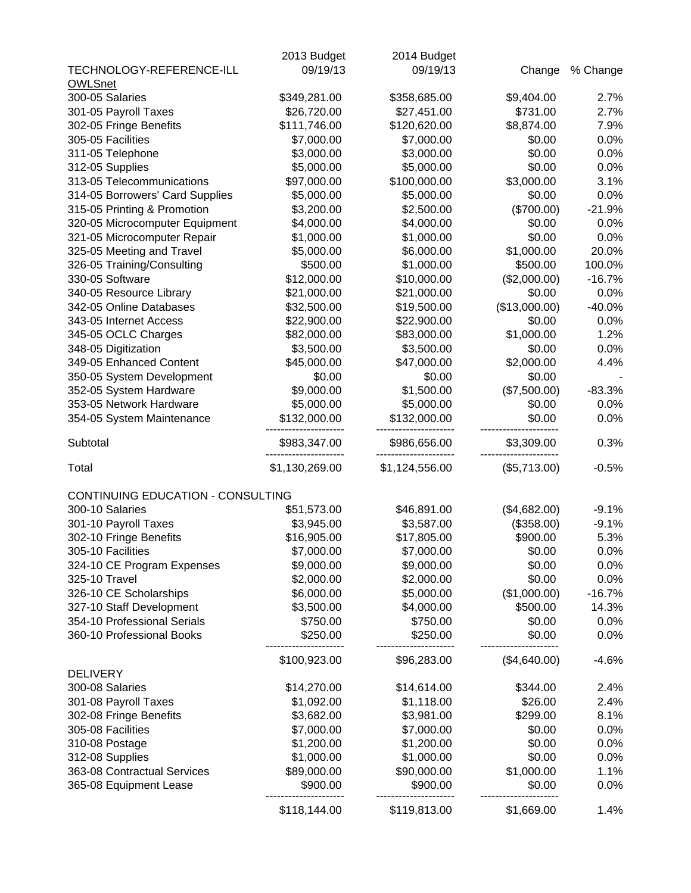|                                   | 2013 Budget    | 2014 Budget       |               |                          |
|-----------------------------------|----------------|-------------------|---------------|--------------------------|
| TECHNOLOGY-REFERENCE-ILL          | 09/19/13       | 09/19/13          | Change        | % Change                 |
| <b>OWLSnet</b>                    |                |                   |               |                          |
| 300-05 Salaries                   | \$349,281.00   | \$358,685.00      | \$9,404.00    | 2.7%                     |
| 301-05 Payroll Taxes              | \$26,720.00    | \$27,451.00       | \$731.00      | 2.7%                     |
| 302-05 Fringe Benefits            | \$111,746.00   | \$120,620.00      | \$8,874.00    | 7.9%                     |
| 305-05 Facilities                 | \$7,000.00     | \$7,000.00        | \$0.00        | 0.0%                     |
| 311-05 Telephone                  | \$3,000.00     | \$3,000.00        | \$0.00        | 0.0%                     |
| 312-05 Supplies                   | \$5,000.00     | \$5,000.00        | \$0.00        | 0.0%                     |
| 313-05 Telecommunications         | \$97,000.00    | \$100,000.00      | \$3,000.00    | 3.1%                     |
| 314-05 Borrowers' Card Supplies   | \$5,000.00     | \$5,000.00        | \$0.00        | 0.0%                     |
| 315-05 Printing & Promotion       | \$3,200.00     | \$2,500.00        | (\$700.00)    | $-21.9%$                 |
| 320-05 Microcomputer Equipment    | \$4,000.00     | \$4,000.00        | \$0.00        | 0.0%                     |
| 321-05 Microcomputer Repair       | \$1,000.00     | \$1,000.00        | \$0.00        | 0.0%                     |
| 325-05 Meeting and Travel         | \$5,000.00     | \$6,000.00        | \$1,000.00    | 20.0%                    |
| 326-05 Training/Consulting        | \$500.00       | \$1,000.00        | \$500.00      | 100.0%                   |
| 330-05 Software                   | \$12,000.00    | \$10,000.00       | (\$2,000.00)  | $-16.7%$                 |
| 340-05 Resource Library           | \$21,000.00    | \$21,000.00       | \$0.00        | 0.0%                     |
| 342-05 Online Databases           | \$32,500.00    | \$19,500.00       | (\$13,000.00) | $-40.0%$                 |
| 343-05 Internet Access            | \$22,900.00    | \$22,900.00       | \$0.00        | 0.0%                     |
| 345-05 OCLC Charges               | \$82,000.00    | \$83,000.00       | \$1,000.00    | 1.2%                     |
| 348-05 Digitization               | \$3,500.00     | \$3,500.00        | \$0.00        | 0.0%                     |
| 349-05 Enhanced Content           | \$45,000.00    | \$47,000.00       | \$2,000.00    | 4.4%                     |
| 350-05 System Development         | \$0.00         | \$0.00            | \$0.00        | $\overline{\phantom{a}}$ |
| 352-05 System Hardware            | \$9,000.00     | \$1,500.00        | (\$7,500.00)  | $-83.3%$                 |
| 353-05 Network Hardware           | \$5,000.00     | \$5,000.00        | \$0.00        | 0.0%                     |
| 354-05 System Maintenance         | \$132,000.00   | \$132,000.00      | \$0.00        | 0.0%                     |
|                                   |                |                   |               |                          |
| Subtotal                          | \$983,347.00   | \$986,656.00<br>. | \$3,309.00    | 0.3%                     |
| Total                             | \$1,130,269.00 | \$1,124,556.00    | (\$5,713.00)  | $-0.5%$                  |
| CONTINUING EDUCATION - CONSULTING |                |                   |               |                          |
| 300-10 Salaries                   | \$51,573.00    | \$46,891.00       | (\$4,682.00)  | $-9.1%$                  |
| 301-10 Payroll Taxes              | \$3,945.00     | \$3,587.00        | (\$358.00)    | $-9.1%$                  |
| 302-10 Fringe Benefits            | \$16,905.00    | \$17,805.00       | \$900.00      | 5.3%                     |
| 305-10 Facilities                 | \$7,000.00     | \$7,000.00        | \$0.00        | 0.0%                     |
| 324-10 CE Program Expenses        | \$9,000.00     | \$9,000.00        | \$0.00        | 0.0%                     |
| 325-10 Travel                     | \$2,000.00     | \$2,000.00        | \$0.00        | 0.0%                     |
| 326-10 CE Scholarships            | \$6,000.00     | \$5,000.00        | (\$1,000.00)  | $-16.7%$                 |
| 327-10 Staff Development          | \$3,500.00     | \$4,000.00        | \$500.00      | 14.3%                    |
| 354-10 Professional Serials       | \$750.00       | \$750.00          | \$0.00        | 0.0%                     |
| 360-10 Professional Books         | \$250.00       | \$250.00          | \$0.00        | 0.0%                     |
|                                   |                |                   |               |                          |
|                                   | \$100,923.00   | \$96,283.00       | (\$4,640.00)  | $-4.6%$                  |
| <b>DELIVERY</b>                   |                |                   |               |                          |
| 300-08 Salaries                   | \$14,270.00    | \$14,614.00       | \$344.00      | 2.4%                     |
| 301-08 Payroll Taxes              | \$1,092.00     | \$1,118.00        | \$26.00       | 2.4%                     |
| 302-08 Fringe Benefits            | \$3,682.00     | \$3,981.00        | \$299.00      | 8.1%                     |
| 305-08 Facilities                 | \$7,000.00     | \$7,000.00        | \$0.00        | 0.0%                     |
| 310-08 Postage                    | \$1,200.00     | \$1,200.00        | \$0.00        | 0.0%                     |
| 312-08 Supplies                   | \$1,000.00     | \$1,000.00        | \$0.00        | 0.0%                     |
| 363-08 Contractual Services       | \$89,000.00    | \$90,000.00       | \$1,000.00    | 1.1%                     |
| 365-08 Equipment Lease            | \$900.00       | \$900.00          | \$0.00        | 0.0%                     |
|                                   |                |                   |               |                          |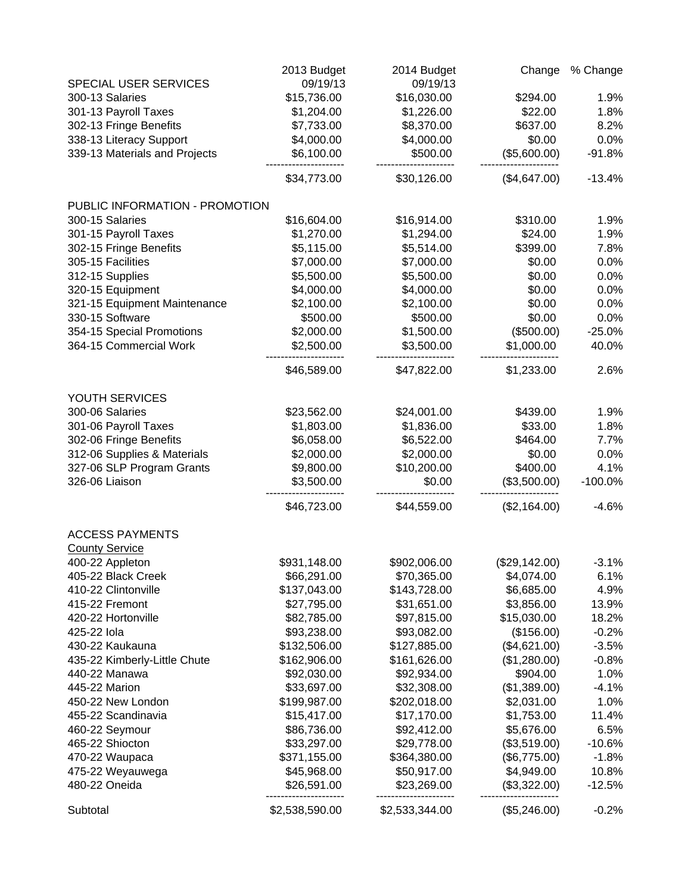|                                | 2013 Budget    | 2014 Budget    | Change        | % Change  |
|--------------------------------|----------------|----------------|---------------|-----------|
| SPECIAL USER SERVICES          | 09/19/13       | 09/19/13       |               |           |
| 300-13 Salaries                | \$15,736.00    | \$16,030.00    | \$294.00      | 1.9%      |
| 301-13 Payroll Taxes           | \$1,204.00     | \$1,226.00     | \$22.00       | 1.8%      |
| 302-13 Fringe Benefits         | \$7,733.00     | \$8,370.00     | \$637.00      | 8.2%      |
| 338-13 Literacy Support        | \$4,000.00     | \$4,000.00     | \$0.00        | 0.0%      |
| 339-13 Materials and Projects  | \$6,100.00     | \$500.00       | (\$5,600.00)  | $-91.8%$  |
|                                | \$34,773.00    | \$30,126.00    | (\$4,647.00)  | $-13.4%$  |
| PUBLIC INFORMATION - PROMOTION |                |                |               |           |
| 300-15 Salaries                | \$16,604.00    | \$16,914.00    | \$310.00      | 1.9%      |
| 301-15 Payroll Taxes           | \$1,270.00     | \$1,294.00     | \$24.00       | 1.9%      |
| 302-15 Fringe Benefits         | \$5,115.00     | \$5,514.00     | \$399.00      | 7.8%      |
| 305-15 Facilities              | \$7,000.00     | \$7,000.00     | \$0.00        | 0.0%      |
| 312-15 Supplies                | \$5,500.00     | \$5,500.00     | \$0.00        | 0.0%      |
| 320-15 Equipment               | \$4,000.00     | \$4,000.00     | \$0.00        | 0.0%      |
| 321-15 Equipment Maintenance   | \$2,100.00     | \$2,100.00     | \$0.00        | 0.0%      |
| 330-15 Software                | \$500.00       | \$500.00       | \$0.00        | 0.0%      |
| 354-15 Special Promotions      | \$2,000.00     | \$1,500.00     | (\$500.00)    | $-25.0%$  |
| 364-15 Commercial Work         | \$2,500.00     | \$3,500.00     | \$1,000.00    | 40.0%     |
|                                | \$46,589.00    | \$47,822.00    | \$1,233.00    | 2.6%      |
| YOUTH SERVICES                 |                |                |               |           |
| 300-06 Salaries                | \$23,562.00    | \$24,001.00    | \$439.00      | 1.9%      |
| 301-06 Payroll Taxes           | \$1,803.00     | \$1,836.00     | \$33.00       | 1.8%      |
| 302-06 Fringe Benefits         | \$6,058.00     | \$6,522.00     | \$464.00      | 7.7%      |
| 312-06 Supplies & Materials    | \$2,000.00     | \$2,000.00     | \$0.00        | 0.0%      |
| 327-06 SLP Program Grants      | \$9,800.00     | \$10,200.00    | \$400.00      | 4.1%      |
| 326-06 Liaison                 | \$3,500.00     | \$0.00         | (\$3,500.00)  | $-100.0%$ |
|                                | \$46,723.00    | \$44,559.00    | (\$2,164.00)  | $-4.6%$   |
| <b>ACCESS PAYMENTS</b>         |                |                |               |           |
| <b>County Service</b>          |                |                |               |           |
| 400-22 Appleton                | \$931,148.00   | \$902,006.00   | (\$29,142.00) | $-3.1%$   |
| 405-22 Black Creek             | \$66,291.00    | \$70,365.00    | \$4,074.00    | 6.1%      |
| 410-22 Clintonville            | \$137,043.00   | \$143,728.00   | \$6,685.00    | 4.9%      |
| 415-22 Fremont                 | \$27,795.00    | \$31,651.00    | \$3,856.00    | 13.9%     |
| 420-22 Hortonville             | \$82,785.00    | \$97,815.00    | \$15,030.00   | 18.2%     |
| 425-22 lola                    | \$93,238.00    | \$93,082.00    | (\$156.00)    | $-0.2%$   |
| 430-22 Kaukauna                | \$132,506.00   | \$127,885.00   | (\$4,621.00)  | $-3.5%$   |
| 435-22 Kimberly-Little Chute   | \$162,906.00   | \$161,626.00   | (\$1,280.00)  | $-0.8%$   |
| 440-22 Manawa                  | \$92,030.00    | \$92,934.00    | \$904.00      | 1.0%      |
| 445-22 Marion                  | \$33,697.00    | \$32,308.00    | (\$1,389.00)  | $-4.1%$   |
| 450-22 New London              | \$199,987.00   | \$202,018.00   | \$2,031.00    | 1.0%      |
| 455-22 Scandinavia             | \$15,417.00    | \$17,170.00    | \$1,753.00    | 11.4%     |
| 460-22 Seymour                 | \$86,736.00    | \$92,412.00    | \$5,676.00    | 6.5%      |
| 465-22 Shiocton                | \$33,297.00    | \$29,778.00    | (\$3,519.00)  | $-10.6%$  |
| 470-22 Waupaca                 | \$371,155.00   | \$364,380.00   | (\$6,775.00)  | $-1.8%$   |
| 475-22 Weyauwega               | \$45,968.00    | \$50,917.00    | \$4,949.00    | 10.8%     |
| 480-22 Oneida                  | \$26,591.00    | \$23,269.00    | (\$3,322.00)  | $-12.5%$  |
| Subtotal                       | \$2,538,590.00 | \$2,533,344.00 | (\$5,246.00)  | $-0.2%$   |